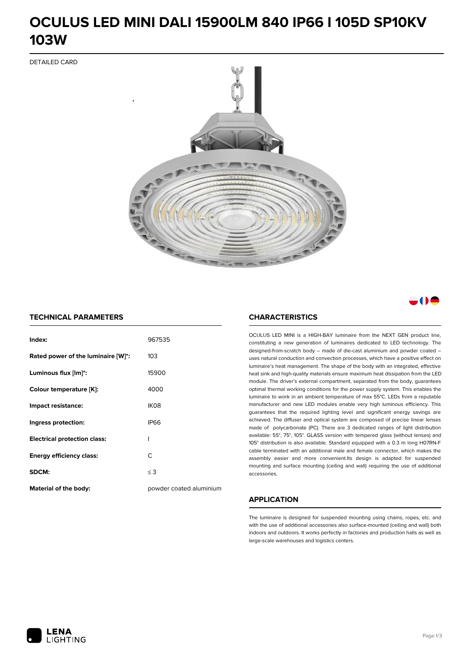### **OCULUS LED MINI DALI 15900LM 840 IP66 I 105D SP10KV 103W**

DETAILED CARD



a M

### **TECHNICAL PARAMETERS**

| Index:                              | 967535                  |
|-------------------------------------|-------------------------|
| Rated power of the luminaire [W]*:  | 103                     |
| Luminous flux [lm]*:                | 15900                   |
| Colour temperature [K]:             | 4000                    |
| Impact resistance:                  | IK <sub>08</sub>        |
| Ingress protection:                 | <b>IP66</b>             |
| <b>Electrical protection class:</b> | ı                       |
| <b>Energy efficiency class:</b>     | C                       |
| SDCM:                               | $\leq$ 3                |
| <b>Material of the body:</b>        | powder coated aluminium |

### **CHARACTERISTICS**

OCULUS LED MINI is a HIGH-BAY luminaire from the NEXT GEN product line, constituting a new generation of luminaires dedicated to LED technology. The designed-from-scratch body – made of die-cast aluminium and powder coated – uses natural conduction and convection processes, which have a positive effect on luminaire's heat management. The shape of the body with an integrated, effective heat sink and high-quality materials ensure maximum heat dissipation from the LED module. The driver's external compartment, separated from the body, guarantees optimal thermal working conditions for the power supply system. This enables the luminaire to work in an ambient temperature of max 55°C. LEDs from a reputable manufacturer and new LED modules enable very high luminous efficiency. This guarantees that the required lighting level and significant energy savings are achieved. The diffuser and optical system are composed of precise linear lenses made of polycarbonate (PC). There are 3 dedicated ranges of light distribution available: 55°, 75°, 105°. GLASS version with tempered glass (without lenses) and 105° distribution is also available. Standard equipped with a 0.3 m long H07RN-F cable terminated with an additional male and female connector, which makes the assembly easier and more convenient.Its design is adapted for suspended mounting and surface mounting (ceiling and wall) requiring the use of additional accessories.

### **APPLICATION**

The luminaire is designed for suspended mounting using chains, ropes, etc. and with the use of additional accessories also surface-mounted (ceiling and wall) both indoors and outdoors. It works perfectly in factories and production halls as well as large-scale warehouses and logistics centers.

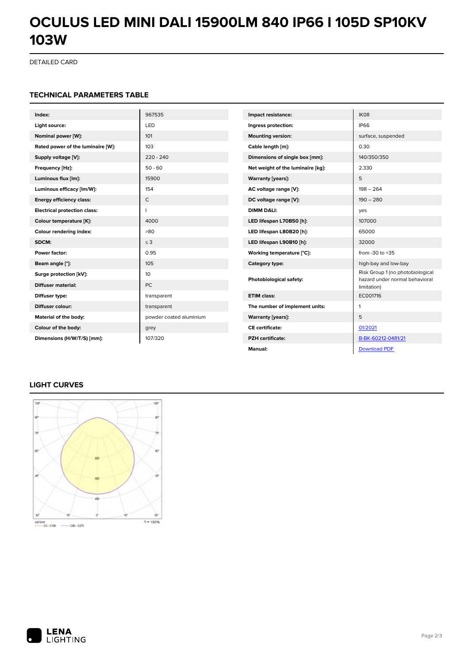# **OCULUS LED MINI DALI 15900LM 840 IP66 I 105D SP10KV 103W**

DETAILED CARD

### **TECHNICAL PARAMETERS TABLE**

| Index:                              | 967535                  | Impact resistance:                | IK08                                                               |
|-------------------------------------|-------------------------|-----------------------------------|--------------------------------------------------------------------|
| Light source:                       | LED                     | Ingress protection:               | <b>IP66</b>                                                        |
| Nominal power [W]:                  | 101                     | <b>Mounting version:</b>          | surface, suspended                                                 |
| Rated power of the luminaire [W]:   | 103                     | Cable length [m]:                 | 0.30                                                               |
| Supply voltage [V]:                 | $220 - 240$             | Dimensions of single box [mm]:    | 140/350/350                                                        |
| Frequency [Hz]:                     | $50 - 60$               | Net weight of the luminaire [kg]: | 2.330                                                              |
| Luminous flux [lm]:                 | 15900                   | <b>Warranty [years]:</b>          | 5                                                                  |
| Luminous efficacy [lm/W]:           | 154                     | AC voltage range [V]:             | $198 - 264$                                                        |
| <b>Energy efficiency class:</b>     | $\mathsf{C}$            | DC voltage range [V]:             | $190 - 280$                                                        |
| <b>Electrical protection class:</b> | п                       | <b>DIMM DALI:</b>                 | yes                                                                |
| Colour temperature [K]:             | 4000                    | LED lifespan L70B50 [h]:          | 107000                                                             |
| Colour rendering index:             | >80                     | LED lifespan L80B20 [h]:          | 65000                                                              |
| SDCM:                               | $\leq$ 3                | LED lifespan L90B10 [h]:          | 32000                                                              |
| Power factor:                       | 0.95                    | Working temperature [°C]:         | from $-30$ to $+35$                                                |
| Beam angle [°]:                     | 105                     | Category type:                    | high-bay and low-bay                                               |
| Surge protection [kV]:              | 10                      | Photobiological safety:           | Risk Group 1 (no photobiological<br>hazard under normal behavioral |
| <b>Diffuser material:</b>           | <b>PC</b>               |                                   | limitation)                                                        |
| Diffuser type:                      | transparent             | <b>ETIM class:</b>                | EC001716                                                           |
| Diffuser colour:                    | transparent             | The number of implement units:    | $\mathbf{1}$                                                       |
| Material of the body:               | powder coated aluminium | <b>Warranty [years]:</b>          | 5                                                                  |
| Colour of the body:                 | grey                    | <b>CE</b> certificate:            | 01/2021                                                            |
| Dimensions (H/W/T/S) [mm]:          | 107/320                 | <b>PZH</b> certificate:           | B-BK-60212-0481/21                                                 |
|                                     |                         | Manual:                           | <b>Download PDF</b>                                                |

### **LIGHT CURVES**